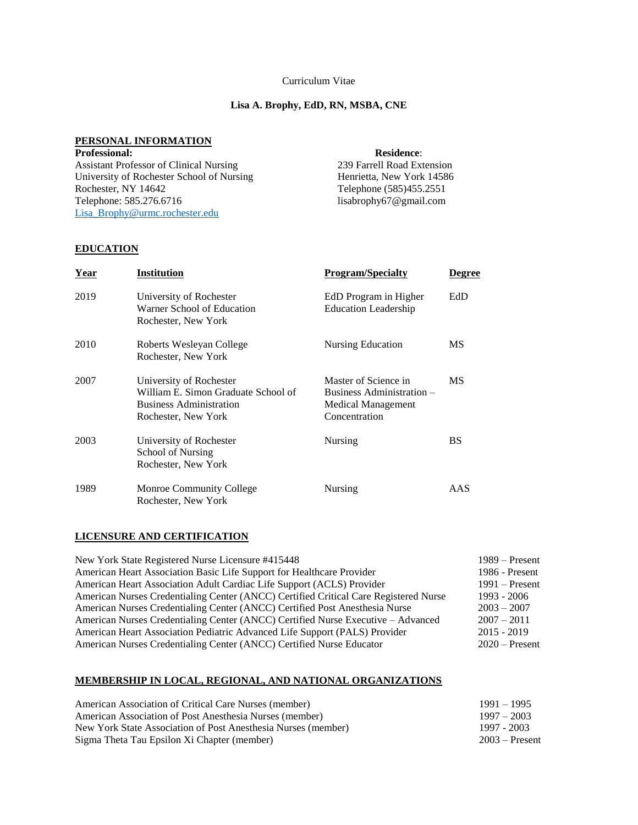## Curriculum Vitae

## **Lisa A. Brophy, EdD, RN, MSBA, CNE**

### **PERSONAL INFORMATION**

**Professional: Residence**: Assistant Professor of Clinical Nursing 239 Farrell Road Extension University of Rochester School of Nursing Henrietta, New York 14586<br>Rochester, NY 14642 Telephone (585)455.2551 Rochester, NY 14642<br>Telephone: 585.276.6716<br>Isabrophy67@gmail.com [Lisa\\_Brophy@urmc.rochester.edu](mailto:Lisa_Brophy@urmc.rochester.edu)

lisabrophy67@gmail.com

## **EDUCATION**

| <b>Year</b> | <b>Institution</b>                                                                                                      | <b>Program/Specialty</b>                                                                 | <b>Degree</b> |
|-------------|-------------------------------------------------------------------------------------------------------------------------|------------------------------------------------------------------------------------------|---------------|
| 2019        | University of Rochester<br>Warner School of Education<br>Rochester, New York                                            | EdD Program in Higher<br><b>Education Leadership</b>                                     | EdD           |
| 2010        | Roberts Wesleyan College<br>Rochester, New York                                                                         | Nursing Education                                                                        | MS            |
| 2007        | University of Rochester<br>William E. Simon Graduate School of<br><b>Business Administration</b><br>Rochester, New York | Master of Science in<br>Business Administration –<br>Medical Management<br>Concentration | <b>MS</b>     |
| 2003        | University of Rochester<br>School of Nursing<br>Rochester, New York                                                     | Nursing                                                                                  | BS            |
| 1989        | Monroe Community College<br>Rochester, New York                                                                         | Nursing                                                                                  | AAS           |

### **LICENSURE AND CERTIFICATION**

| New York State Registered Nurse Licensure #415448                                    | $1989 -$ Present |
|--------------------------------------------------------------------------------------|------------------|
| American Heart Association Basic Life Support for Healthcare Provider                | 1986 - Present   |
| American Heart Association Adult Cardiac Life Support (ACLS) Provider                | $1991 -$ Present |
| American Nurses Credentialing Center (ANCC) Certified Critical Care Registered Nurse | 1993 - 2006      |
| American Nurses Credentialing Center (ANCC) Certified Post Anesthesia Nurse          | $2003 - 2007$    |
| American Nurses Credentialing Center (ANCC) Certified Nurse Executive – Advanced     | $2007 - 2011$    |
| American Heart Association Pediatric Advanced Life Support (PALS) Provider           | $2015 - 2019$    |
| American Nurses Credentialing Center (ANCC) Certified Nurse Educator                 | $2020$ – Present |

### **MEMBERSHIP IN LOCAL, REGIONAL, AND NATIONAL ORGANIZATIONS**

| American Association of Critical Care Nurses (member)         | $1991 - 1995$    |
|---------------------------------------------------------------|------------------|
| American Association of Post Anesthesia Nurses (member)       | $1997 - 2003$    |
| New York State Association of Post Anesthesia Nurses (member) | 1997 - 2003      |
| Sigma Theta Tau Epsilon Xi Chapter (member)                   | $2003 -$ Present |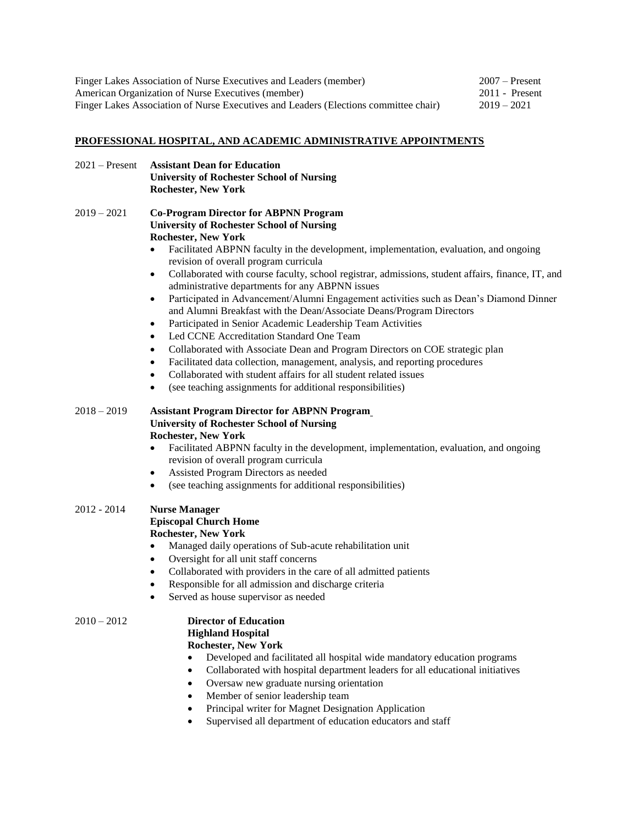| Finger Lakes Association of Nurse Executives and Leaders (member)                    | $2007$ – Present |  |
|--------------------------------------------------------------------------------------|------------------|--|
| American Organization of Nurse Executives (member)                                   | $2011$ - Present |  |
| Finger Lakes Association of Nurse Executives and Leaders (Elections committee chair) | $2019 - 2021$    |  |

# **PROFESSIONAL HOSPITAL, AND ACADEMIC ADMINISTRATIVE APPOINTMENTS**

| $2021 -$ Present | <b>Assistant Dean for Education</b>                                                                                                                                                                                                                                                                                                                                                                                                                                                                                                                                                                                                                                                                                                                                                                                                                                                                                                                                                                                                                                                                                        |
|------------------|----------------------------------------------------------------------------------------------------------------------------------------------------------------------------------------------------------------------------------------------------------------------------------------------------------------------------------------------------------------------------------------------------------------------------------------------------------------------------------------------------------------------------------------------------------------------------------------------------------------------------------------------------------------------------------------------------------------------------------------------------------------------------------------------------------------------------------------------------------------------------------------------------------------------------------------------------------------------------------------------------------------------------------------------------------------------------------------------------------------------------|
|                  | <b>University of Rochester School of Nursing</b>                                                                                                                                                                                                                                                                                                                                                                                                                                                                                                                                                                                                                                                                                                                                                                                                                                                                                                                                                                                                                                                                           |
|                  | <b>Rochester, New York</b>                                                                                                                                                                                                                                                                                                                                                                                                                                                                                                                                                                                                                                                                                                                                                                                                                                                                                                                                                                                                                                                                                                 |
| $2019 - 2021$    | <b>Co-Program Director for ABPNN Program</b><br><b>University of Rochester School of Nursing</b><br><b>Rochester, New York</b><br>Facilitated ABPNN faculty in the development, implementation, evaluation, and ongoing<br>$\bullet$<br>revision of overall program curricula<br>Collaborated with course faculty, school registrar, admissions, student affairs, finance, IT, and<br>$\bullet$<br>administrative departments for any ABPNN issues<br>Participated in Advancement/Alumni Engagement activities such as Dean's Diamond Dinner<br>$\bullet$<br>and Alumni Breakfast with the Dean/Associate Deans/Program Directors<br>Participated in Senior Academic Leadership Team Activities<br>$\bullet$<br>Led CCNE Accreditation Standard One Team<br>$\bullet$<br>Collaborated with Associate Dean and Program Directors on COE strategic plan<br>$\bullet$<br>Facilitated data collection, management, analysis, and reporting procedures<br>$\bullet$<br>Collaborated with student affairs for all student related issues<br>$\bullet$<br>(see teaching assignments for additional responsibilities)<br>$\bullet$ |
|                  |                                                                                                                                                                                                                                                                                                                                                                                                                                                                                                                                                                                                                                                                                                                                                                                                                                                                                                                                                                                                                                                                                                                            |
| $2018 - 2019$    | <b>Assistant Program Director for ABPNN Program</b><br><b>University of Rochester School of Nursing</b><br><b>Rochester, New York</b><br>Facilitated ABPNN faculty in the development, implementation, evaluation, and ongoing<br>٠<br>revision of overall program curricula<br>Assisted Program Directors as needed<br>٠<br>(see teaching assignments for additional responsibilities)<br>$\bullet$                                                                                                                                                                                                                                                                                                                                                                                                                                                                                                                                                                                                                                                                                                                       |
| 2012 - 2014      | <b>Nurse Manager</b><br><b>Episcopal Church Home</b><br><b>Rochester, New York</b><br>Managed daily operations of Sub-acute rehabilitation unit<br>$\bullet$<br>Oversight for all unit staff concerns<br>٠<br>Collaborated with providers in the care of all admitted patients<br>٠<br>Responsible for all admission and discharge criteria<br>$\bullet$<br>Served as house supervisor as needed<br>$\bullet$                                                                                                                                                                                                                                                                                                                                                                                                                                                                                                                                                                                                                                                                                                              |
| $2010 - 2012$    | <b>Director of Education</b><br><b>Highland Hospital</b><br><b>Rochester, New York</b><br>Developed and facilitated all hospital wide mandatory education programs<br>Collaborated with hospital department leaders for all educational initiatives<br>$\bullet$<br>Oversaw new graduate nursing orientation<br>Member of senior leadership team<br>Principal writer for Magnet Designation Application<br>Supervised all department of education educators and staff                                                                                                                                                                                                                                                                                                                                                                                                                                                                                                                                                                                                                                                      |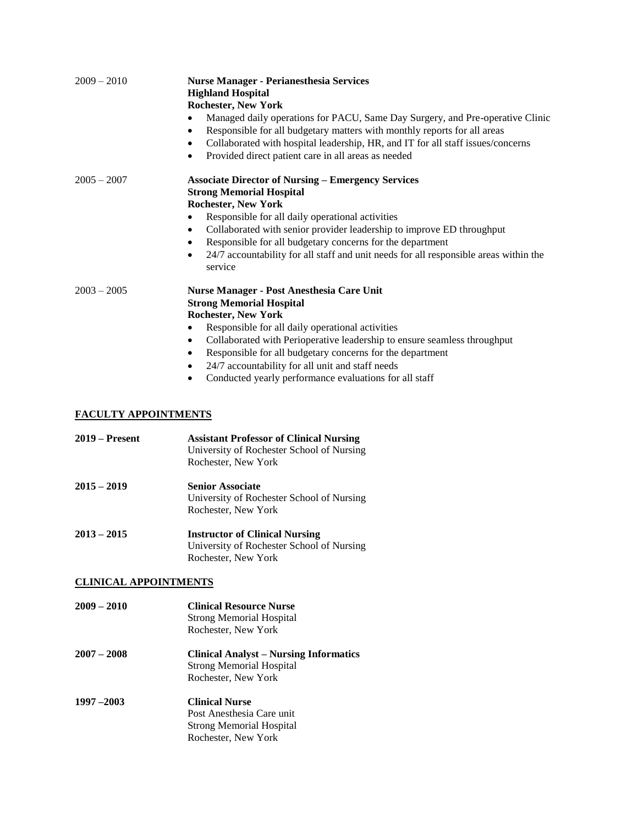| $2009 - 2010$                                | <b>Nurse Manager - Perianesthesia Services</b><br><b>Highland Hospital</b><br><b>Rochester, New York</b><br>Managed daily operations for PACU, Same Day Surgery, and Pre-operative Clinic<br>Responsible for all budgetary matters with monthly reports for all areas<br>٠<br>Collaborated with hospital leadership, HR, and IT for all staff issues/concerns<br>$\bullet$<br>Provided direct patient care in all areas as needed<br>$\bullet$                                        |
|----------------------------------------------|---------------------------------------------------------------------------------------------------------------------------------------------------------------------------------------------------------------------------------------------------------------------------------------------------------------------------------------------------------------------------------------------------------------------------------------------------------------------------------------|
| $2005 - 2007$                                | <b>Associate Director of Nursing - Emergency Services</b><br><b>Strong Memorial Hospital</b><br><b>Rochester, New York</b><br>Responsible for all daily operational activities<br>$\bullet$<br>Collaborated with senior provider leadership to improve ED throughput<br>$\bullet$<br>Responsible for all budgetary concerns for the department<br>$\bullet$<br>24/7 accountability for all staff and unit needs for all responsible areas within the<br>$\bullet$<br>service          |
| $2003 - 2005$<br><b>FACULTY APPOINTMENTS</b> | <b>Nurse Manager - Post Anesthesia Care Unit</b><br><b>Strong Memorial Hospital</b><br><b>Rochester, New York</b><br>Responsible for all daily operational activities<br>$\bullet$<br>Collaborated with Perioperative leadership to ensure seamless throughput<br>$\bullet$<br>Responsible for all budgetary concerns for the department<br>$\bullet$<br>24/7 accountability for all unit and staff needs<br>$\bullet$<br>Conducted yearly performance evaluations for all staff<br>٠ |
| $2019 -$ Present                             | <b>Assistant Professor of Clinical Nursing</b><br>University of Rochester School of Nursing<br>Rochester, New York                                                                                                                                                                                                                                                                                                                                                                    |
| $2015 - 2019$                                | <b>Senior Associate</b><br>University of Rochester School of Nursing<br>Rochester, New York                                                                                                                                                                                                                                                                                                                                                                                           |
| $2013 - 2015$                                | <b>Instructor of Clinical Nursing</b><br>University of Rochester School of Nursing<br>Rochester, New York                                                                                                                                                                                                                                                                                                                                                                             |

## **CLINICAL APPOINTMENTS**

- **2009 – 2010 Clinical Resource Nurse** Strong Memorial Hospital Rochester, New York
- **2007 – 2008 Clinical Analyst – Nursing Informatics** Strong Memorial Hospital Rochester, New York
- **1997 –2003 Clinical Nurse** Post Anesthesia Care unit Strong Memorial Hospital Rochester, New York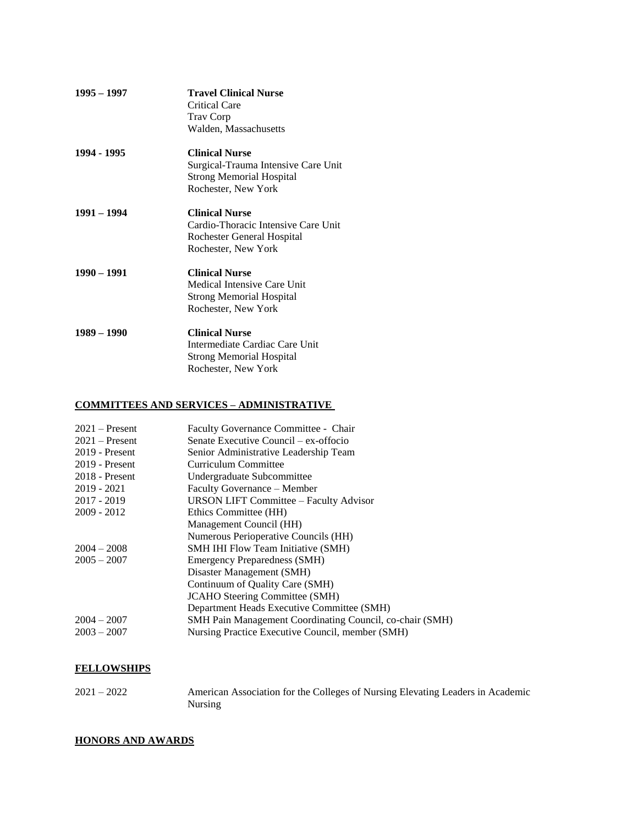| $1995 - 1997$ | <b>Travel Clinical Nurse</b><br>Critical Care<br><b>Trav Corp</b><br>Walden, Massachusetts                             |
|---------------|------------------------------------------------------------------------------------------------------------------------|
| 1994 - 1995   | <b>Clinical Nurse</b><br>Surgical-Trauma Intensive Care Unit<br><b>Strong Memorial Hospital</b><br>Rochester, New York |
| 1991 – 1994   | <b>Clinical Nurse</b><br>Cardio-Thoracic Intensive Care Unit<br>Rochester General Hospital<br>Rochester, New York      |
| $1990 - 1991$ | <b>Clinical Nurse</b><br>Medical Intensive Care Unit<br><b>Strong Memorial Hospital</b><br>Rochester, New York         |
| $1989 - 1990$ | <b>Clinical Nurse</b><br>Intermediate Cardiac Care Unit<br><b>Strong Memorial Hospital</b><br>Rochester, New York      |

## **COMMITTEES AND SERVICES – ADMINISTRATIVE**

| $2021 -$ Present | Faculty Governance Committee - Chair                            |
|------------------|-----------------------------------------------------------------|
| $2021 -$ Present | Senate Executive Council – ex-offocio                           |
| $2019$ - Present | Senior Administrative Leadership Team                           |
| $2019$ - Present | Curriculum Committee                                            |
| $2018$ - Present | Undergraduate Subcommittee                                      |
| $2019 - 2021$    | Faculty Governance - Member                                     |
| $2017 - 2019$    | <b>URSON LIFT Committee - Faculty Advisor</b>                   |
| $2009 - 2012$    | Ethics Committee (HH)                                           |
|                  | Management Council (HH)                                         |
|                  | Numerous Perioperative Councils (HH)                            |
| $2004 - 2008$    | <b>SMH IHI Flow Team Initiative (SMH)</b>                       |
| $2005 - 2007$    | <b>Emergency Preparedness (SMH)</b>                             |
|                  | Disaster Management (SMH)                                       |
|                  | Continuum of Quality Care (SMH)                                 |
|                  | <b>JCAHO</b> Steering Committee (SMH)                           |
|                  | Department Heads Executive Committee (SMH)                      |
| $2004 - 2007$    | <b>SMH Pain Management Coordinating Council, co-chair (SMH)</b> |
| $2003 - 2007$    | Nursing Practice Executive Council, member (SMH)                |

## **FELLOWSHIPS**

2021 – 2022 American Association for the Colleges of Nursing Elevating Leaders in Academic Nursing

## **HONORS AND AWARDS**